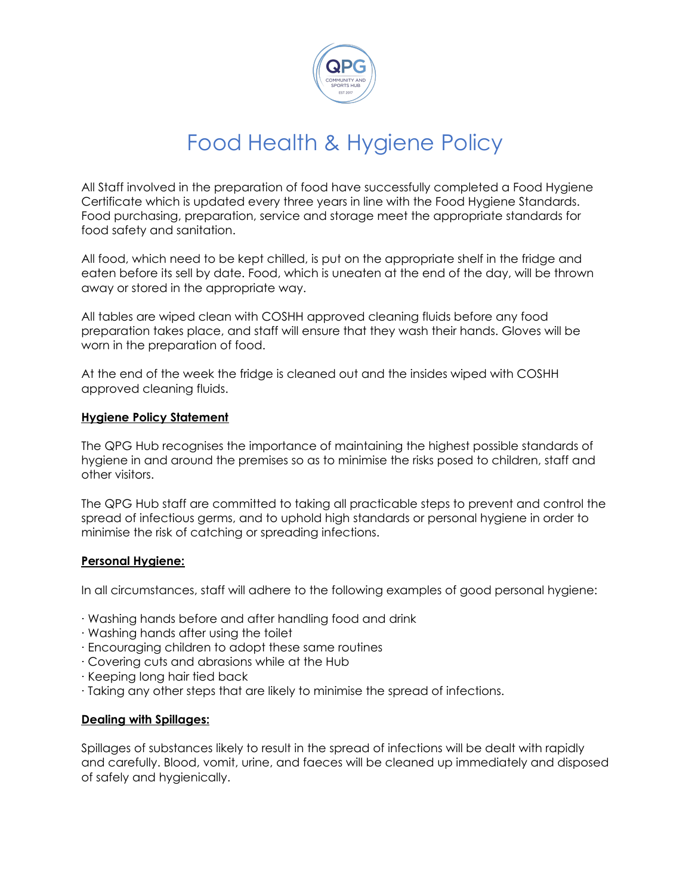

# Food Health & Hygiene Policy

All Staff involved in the preparation of food have successfully completed a Food Hygiene Certificate which is updated every three years in line with the Food Hygiene Standards. Food purchasing, preparation, service and storage meet the appropriate standards for food safety and sanitation.

All food, which need to be kept chilled, is put on the appropriate shelf in the fridge and eaten before its sell by date. Food, which is uneaten at the end of the day, will be thrown away or stored in the appropriate way.

All tables are wiped clean with COSHH approved cleaning fluids before any food preparation takes place, and staff will ensure that they wash their hands. Gloves will be worn in the preparation of food.

At the end of the week the fridge is cleaned out and the insides wiped with COSHH approved cleaning fluids.

### **Hygiene Policy Statement**

The QPG Hub recognises the importance of maintaining the highest possible standards of hygiene in and around the premises so as to minimise the risks posed to children, staff and other visitors.

The QPG Hub staff are committed to taking all practicable steps to prevent and control the spread of infectious germs, and to uphold high standards or personal hygiene in order to minimise the risk of catching or spreading infections.

### **Personal Hygiene:**

In all circumstances, staff will adhere to the following examples of good personal hygiene:

- · Washing hands before and after handling food and drink
- · Washing hands after using the toilet
- · Encouraging children to adopt these same routines
- · Covering cuts and abrasions while at the Hub
- · Keeping long hair tied back
- · Taking any other steps that are likely to minimise the spread of infections.

#### **Dealing with Spillages:**

Spillages of substances likely to result in the spread of infections will be dealt with rapidly and carefully. Blood, vomit, urine, and faeces will be cleaned up immediately and disposed of safely and hygienically.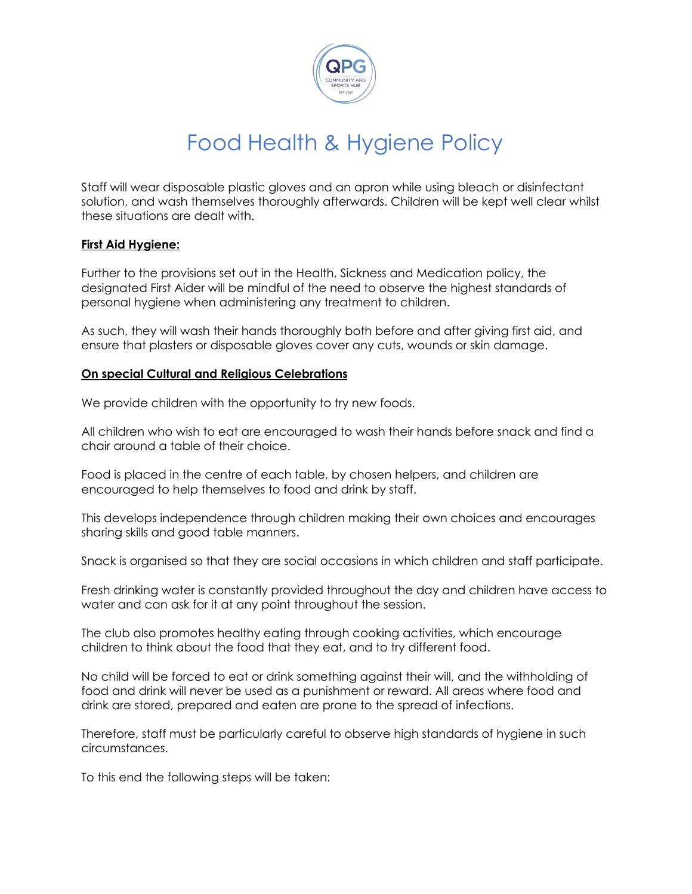

# Food Health & Hygiene Policy

Staff will wear disposable plastic gloves and an apron while using bleach or disinfectant solution, and wash themselves thoroughly afterwards. Children will be kept well clear whilst these situations are dealt with.

### **First Aid Hygiene:**

Further to the provisions set out in the Health, Sickness and Medication policy, the designated First Aider will be mindful of the need to observe the highest standards of personal hygiene when administering any treatment to children.

As such, they will wash their hands thoroughly both before and after giving first aid, and ensure that plasters or disposable gloves cover any cuts, wounds or skin damage.

#### **On special Cultural and Religious Celebrations**

We provide children with the opportunity to try new foods.

All children who wish to eat are encouraged to wash their hands before snack and find a chair around a table of their choice.

Food is placed in the centre of each table, by chosen helpers, and children are encouraged to help themselves to food and drink by staff.

This develops independence through children making their own choices and encourages sharing skills and good table manners.

Snack is organised so that they are social occasions in which children and staff participate.

Fresh drinking water is constantly provided throughout the day and children have access to water and can ask for it at any point throughout the session.

The club also promotes healthy eating through cooking activities, which encourage children to think about the food that they eat, and to try different food.

No child will be forced to eat or drink something against their will, and the withholding of food and drink will never be used as a punishment or reward. All areas where food and drink are stored, prepared and eaten are prone to the spread of infections.

Therefore, staff must be particularly careful to observe high standards of hygiene in such circumstances.

To this end the following steps will be taken: